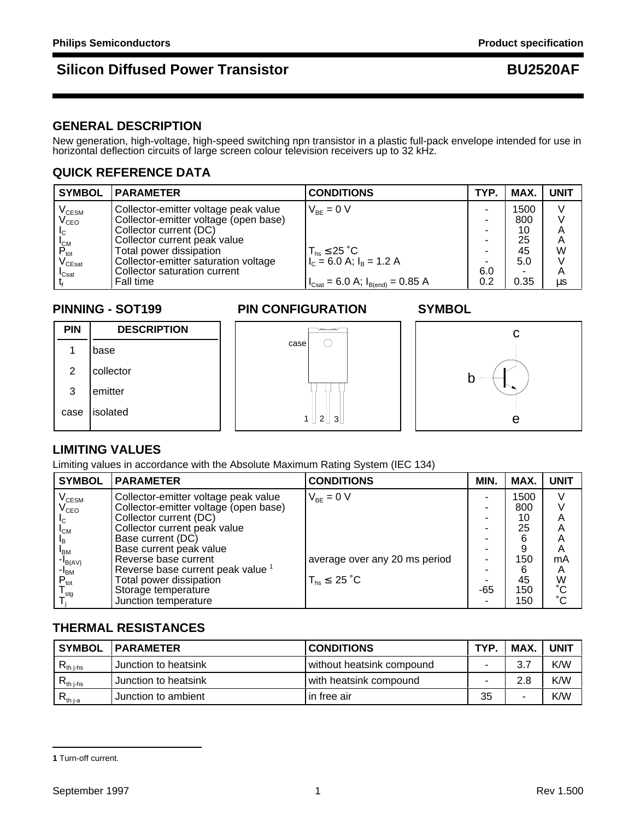### **GENERAL DESCRIPTION**

New generation, high-voltage, high-speed switching npn transistor in a plastic full-pack envelope intended for use in horizontal deflection circuits of large screen colour television receivers up to 32 kHz.

## **QUICK REFERENCE DATA**

| <b>SYMBOL</b>                          | <b>PARAMETER</b>                      | <b>CONDITIONS</b>                                                     | TYP. | MAX. | <b>UNIT</b> |
|----------------------------------------|---------------------------------------|-----------------------------------------------------------------------|------|------|-------------|
|                                        | Collector-emitter voltage peak value  | $V_{BF} = 0 V$                                                        |      | 1500 |             |
| V <sub>CESM</sub><br>V <sub>CEO</sub>  | Collector-emitter voltage (open base) |                                                                       |      | 800  |             |
| $L_{\rm C}$                            | Collector current (DC)                |                                                                       | ۰    | 10   | Α           |
|                                        | Collector current peak value          |                                                                       | ۰    | 25   | A           |
| $P_{\text{tot}}^{\text{IM}}$           | Total power dissipation               | $T_{hs} \leq 25 \degree C$                                            |      | 45   | W           |
| $\mathsf{V}_{\mathsf{C}\mathsf{East}}$ | Collector-emitter saturation voltage  | $I_{\rm C} = 6.0$ A; $I_{\rm B} = 1.2$ A                              |      | 5.0  |             |
| $\mathsf{I}_{\mathsf{Csat}}$           | Collector saturation current          |                                                                       | 6.0  |      | A           |
|                                        | Fall time                             | $I_{\text{Csat}} = 6.0 \text{ A}; I_{\text{B(end)}} = 0.85 \text{ A}$ | 0.2  | 0.35 | us          |

### **PINNING - SOT199 PIN CONFIGURATION SYMBOL**

# **PIN DESCRIPTION** 1 base 2 collector 3 emitter case lisolated







### **LIMITING VALUES**

Limiting values in accordance with the Absolute Maximum Rating System (IEC 134)

| <b>SYMBOL</b>               | <b>IPARAMETER</b>                            | <b>CONDITIONS</b>             | MIN. | MAX. | <b>UNIT</b>     |
|-----------------------------|----------------------------------------------|-------------------------------|------|------|-----------------|
| $V_{\text{CESM}}$           | Collector-emitter voltage peak value         | $V_{BF} = 0 V$                |      | 1500 |                 |
| $\mathsf{V}_{\mathsf{CEO}}$ | Collector-emitter voltage (open base)        |                               |      | 800  |                 |
| IC.                         | Collector current (DC)                       |                               |      | 10   |                 |
| $I_{CM}$                    | Collector current peak value                 |                               |      | 25   |                 |
|                             | Base current (DC)                            |                               |      |      | Α               |
| <b>I</b> <sub>BM</sub>      | Base current peak value                      |                               |      | 9    | A               |
| $\blacksquare$ B(AV)        | Reverse base current                         | average over any 20 ms period |      | 150  | mA              |
| -I <sub>BM</sub>            | Reverse base current peak value <sup>1</sup> |                               |      | 6    | A               |
| $P_{\text{tot}}$            | Total power dissipation                      | $T_{hs} \leq 25 \degree C$    |      | 45   | W<br>°C         |
| $\frac{I_{\text{stg}}}{I}$  | Storage temperature                          |                               | -65  | 150  |                 |
|                             | Junction temperature                         |                               |      | 150  | $\rm ^{\circ}C$ |

## **THERMAL RESISTANCES**

| <b>SYMBOL</b>         | <b>IPARAMETER</b>    | <b>CONDITIONS</b>         | TYP. | <b>MAX</b> | <b>UNIT</b> |
|-----------------------|----------------------|---------------------------|------|------------|-------------|
| $R_{th\ j\text{-}hs}$ | Junction to heatsink | without heatsink compound |      |            | K/W         |
| $R_{th\;\rm{i-hs}}$   | Junction to heatsink | with heatsink compound    |      | 2.8        | K/W         |
| $R_{th\,j-a}$         | Junction to ambient  | in free air               | 35   | -          | K/W         |

**<sup>1</sup>** Turn-off current.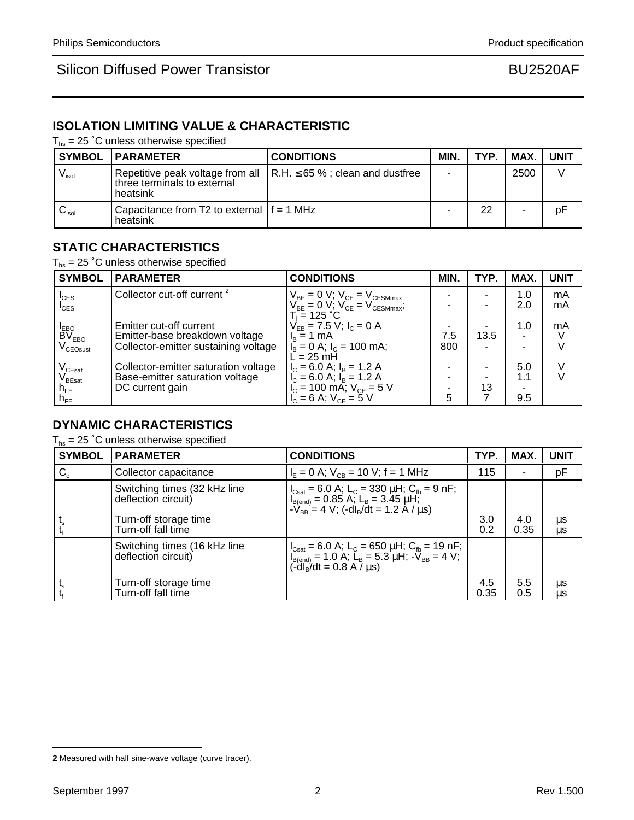## **ISOLATION LIMITING VALUE & CHARACTERISTIC**

 $T_{hs}$  = 25 °C unless otherwise specified

|                              | <b>SYMBOL   PARAMETER</b>                                | <b>CONDITIONS</b>                                                             | MIN. | TYP. | MAX. UNIT |    |
|------------------------------|----------------------------------------------------------|-------------------------------------------------------------------------------|------|------|-----------|----|
| $\mathsf{V}_{\mathsf{isol}}$ | three terminals to external<br>heatsink                  | Repetitive peak voltage from all $\vert$ R.H. $\leq$ 65 %; clean and dustfree |      |      | 2500      |    |
| $\mathsf{v}_\mathsf{isol}$   | l Capacitance from T2 to external If = 1 MHz<br>heatsink |                                                                               |      | 22   |           | pF |

## **STATIC CHARACTERISTICS**

 $T_{hs}$  = 25 °C unless otherwise specified

| <b>SYMBOL</b>                            | <b>PARAMETER</b>                       | <b>CONDITIONS</b>                                                            | MIN. | TYP. | MAX.           | <b>UNIT</b> |
|------------------------------------------|----------------------------------------|------------------------------------------------------------------------------|------|------|----------------|-------------|
| $I_{CES}$                                | Collector cut-off current <sup>2</sup> | $V_{BE} = 0 V$ ; $V_{CE} = V_{CESMmax}$                                      |      | -    | 1.0            | mA          |
| $I_{CES}$                                |                                        | $V_{BE}^{\text{DL}} = 0$ V; $V_{CE}^{\text{CL}} = V_{CESMmax}^{\text{CLSE}}$ |      |      | 2.0            | mA          |
|                                          | Emitter cut-off current                | $T_i = 125 °C$<br>$V_{FB} = 7.5 V$ ; $I_C = 0 A$                             |      |      | 1.0            | mA          |
| I <sub>EBO</sub><br>BV <sub>EBO</sub>    | Emitter-base breakdown voltage         | $I_B = 1$ mA                                                                 | 7.5  | 13.5 | $\blacksquare$ |             |
| $V_{\text{CEOsust}}$                     | Collector-emitter sustaining voltage   | $I_B = 0$ A; $I_C = 100$ mA;<br>$L = 25$ mH                                  | 800  | ۰    |                |             |
|                                          | Collector-emitter saturation voltage   | $I_c = 6.0$ A; $I_B = 1.2$ A                                                 |      |      | 5.0            |             |
| V <sub>CEsat</sub><br>V <sub>BEsat</sub> | Base-emitter saturation voltage        | $I_{C} = 6.0$ A; $I_{B} = 1.2$ A                                             |      |      | 1.1            |             |
| $n_{FE}$                                 | DC current gain                        | $I_c = 100 \text{ mA}$ ; $V_{CE} = 5 \text{ V}$                              |      | 13   |                |             |
| $n_{FE}$                                 |                                        | $V_{c} = 6$ A; $V_{cE} = 5$ V                                                | 5    |      | 9.5            |             |

### **DYNAMIC CHARACTERISTICS**

 $T_{hs}$  = 25 °C unless otherwise specified

| <b>SYMBOL</b>             | <b>PARAMETER</b>                                    | <b>CONDITIONS</b>                                                                                                                                                                                                                                                                                           | TYP.        | MAX.        | <b>UNIT</b> |
|---------------------------|-----------------------------------------------------|-------------------------------------------------------------------------------------------------------------------------------------------------------------------------------------------------------------------------------------------------------------------------------------------------------------|-------------|-------------|-------------|
| $\mathsf{C}_{\mathrm{c}}$ | Collector capacitance                               | $I_{E} = 0$ A; $V_{CB} = 10$ V; f = 1 MHz                                                                                                                                                                                                                                                                   | 115         | ۰           | pF          |
|                           | Switching times (32 kHz line<br>deflection circuit) | $\left  \begin{array}{l} I_{\text{Csat}} = 6.0 \text{ A}; L_{\text{C}} = 330 \text{ }\mu\text{H}; C_{\text{fb}} = 9 \text{ }\text{nF}; \\ I_{\text{B(end)}} = 0.85 \text{ A}; L_{\text{B}} = 3.45 \text{ }\mu\text{H}; \\ -V_{\text{BB}} = 4 \text{ V}; (-d)_{\text{B}} / dt = 1.2 \text{ A} / \mu\text{s}$ |             |             |             |
|                           | Turn-off storage time<br>Turn-off fall time         |                                                                                                                                                                                                                                                                                                             | 3.0<br>0.2  | 4.0<br>0.35 | μs<br>μs    |
|                           | Switching times (16 kHz line<br>deflection circuit) | $ I_{\text{Csat}} = 6.0 \text{ A}; L_{\text{C}} = 650 \mu\text{H}; C_{\text{fb}} = 19 \text{ nF};$<br>$ I_{\text{B(end)}} = 1.0 \text{ A}; L_{\text{B}} = 5.3 \mu\text{H}; -V_{\text{BB}} = 4 \text{ V};$<br>$(-d _{\text{B}}/dt = 0.8 \text{ A}/\mu\text{s})$                                              |             |             |             |
|                           | Turn-off storage time<br>Turn-off fall time         |                                                                                                                                                                                                                                                                                                             | 4.5<br>0.35 | 5.5<br>0.5  | μs<br>μs    |

**<sup>2</sup>** Measured with half sine-wave voltage (curve tracer).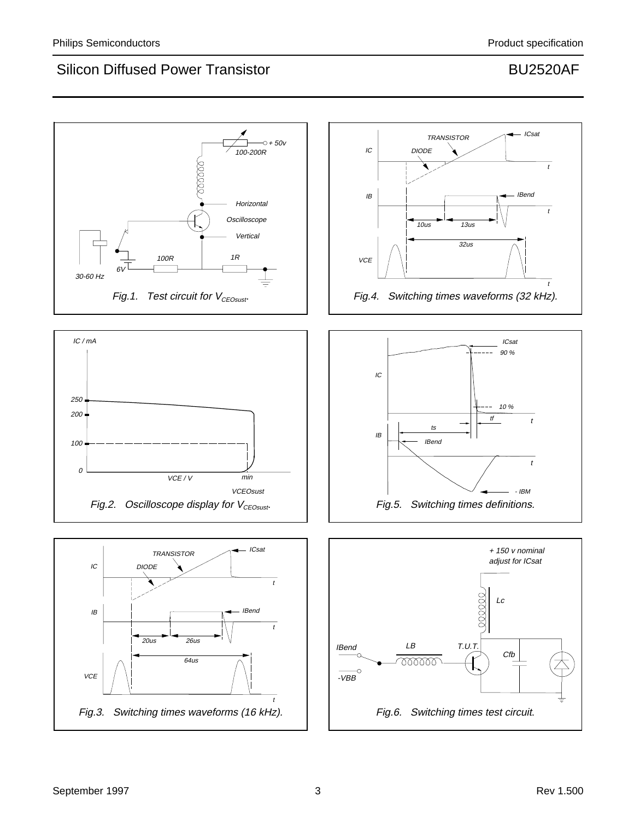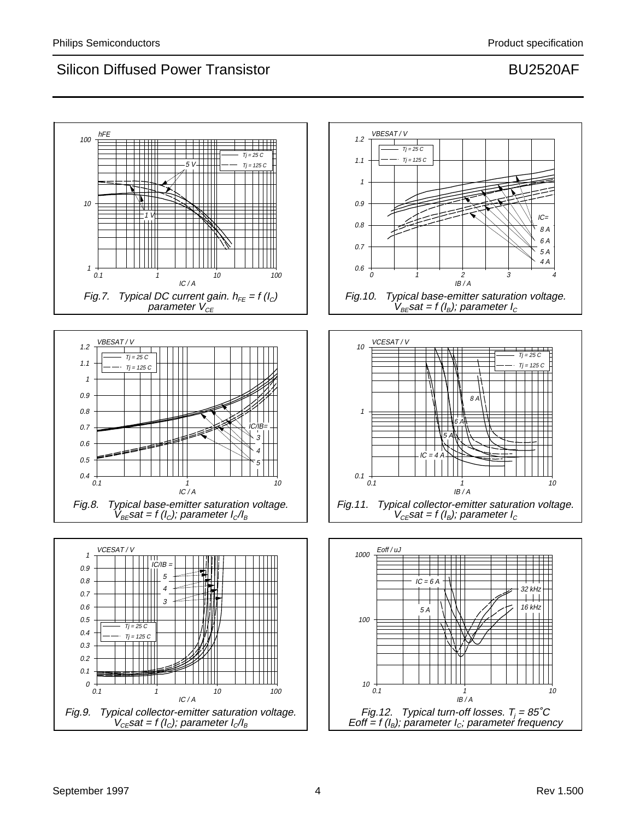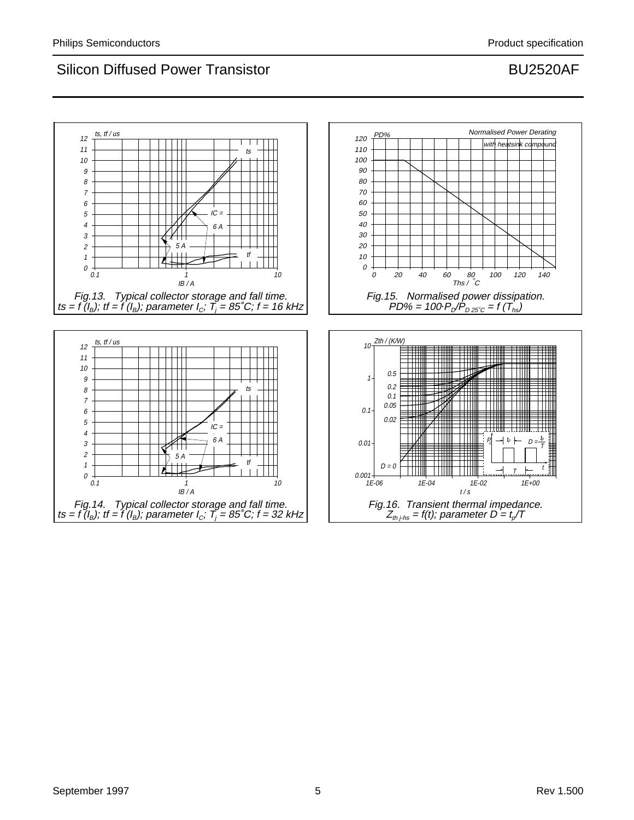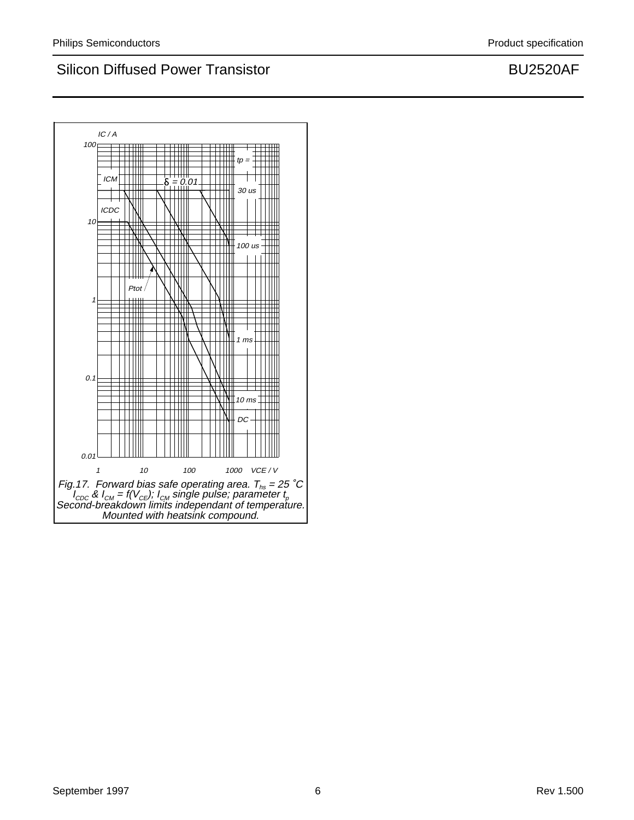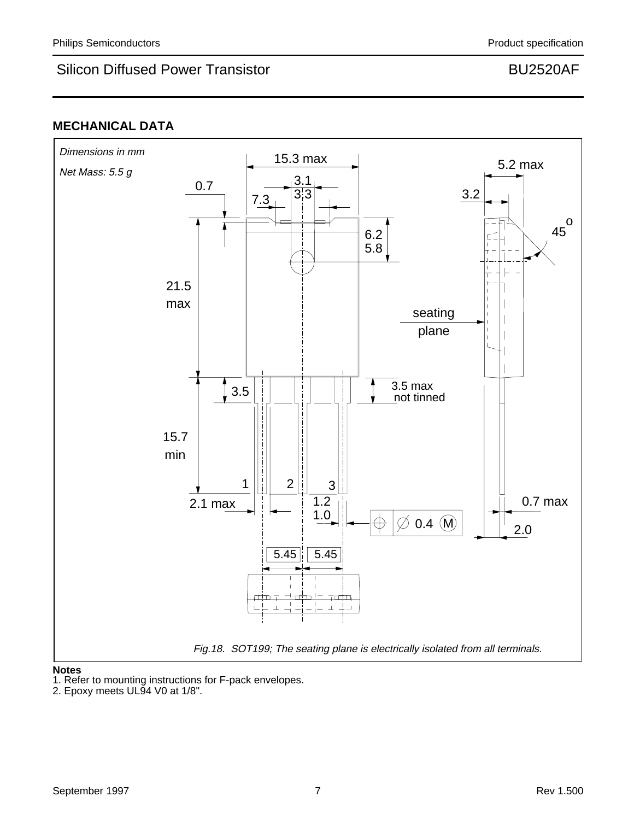## **MECHANICAL DATA**



### **Notes**

1. Refer to mounting instructions for F-pack envelopes.

<sup>2.</sup> Epoxy meets UL94 V0 at 1/8".